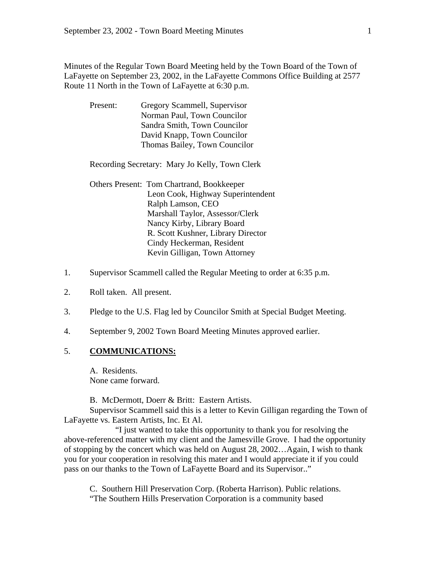Minutes of the Regular Town Board Meeting held by the Town Board of the Town of LaFayette on September 23, 2002, in the LaFayette Commons Office Building at 2577 Route 11 North in the Town of LaFayette at 6:30 p.m.

| Present: | Gregory Scammell, Supervisor  |
|----------|-------------------------------|
|          | Norman Paul, Town Councilor   |
|          | Sandra Smith, Town Councilor  |
|          | David Knapp, Town Councilor   |
|          | Thomas Bailey, Town Councilor |

Recording Secretary: Mary Jo Kelly, Town Clerk

 Others Present: Tom Chartrand, Bookkeeper Leon Cook, Highway Superintendent Ralph Lamson, CEO Marshall Taylor, Assessor/Clerk Nancy Kirby, Library Board R. Scott Kushner, Library Director Cindy Heckerman, Resident Kevin Gilligan, Town Attorney

- 1. Supervisor Scammell called the Regular Meeting to order at 6:35 p.m.
- 2. Roll taken. All present.
- 3. Pledge to the U.S. Flag led by Councilor Smith at Special Budget Meeting.
- 4. September 9, 2002 Town Board Meeting Minutes approved earlier.

#### 5. **COMMUNICATIONS:**

A. Residents. None came forward.

B. McDermott, Doerr & Britt: Eastern Artists.

Supervisor Scammell said this is a letter to Kevin Gilligan regarding the Town of LaFayette vs. Eastern Artists, Inc. Et Al.

 "I just wanted to take this opportunity to thank you for resolving the above-referenced matter with my client and the Jamesville Grove. I had the opportunity of stopping by the concert which was held on August 28, 2002…Again, I wish to thank you for your cooperation in resolving this mater and I would appreciate it if you could pass on our thanks to the Town of LaFayette Board and its Supervisor.."

C. Southern Hill Preservation Corp. (Roberta Harrison). Public relations. "The Southern Hills Preservation Corporation is a community based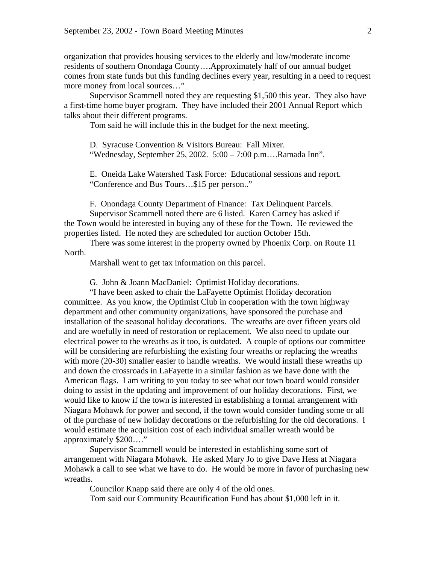organization that provides housing services to the elderly and low/moderate income residents of southern Onondaga County….Approximately half of our annual budget comes from state funds but this funding declines every year, resulting in a need to request more money from local sources…"

 Supervisor Scammell noted they are requesting \$1,500 this year. They also have a first-time home buyer program. They have included their 2001 Annual Report which talks about their different programs.

Tom said he will include this in the budget for the next meeting.

D. Syracuse Convention & Visitors Bureau: Fall Mixer. "Wednesday, September 25, 2002. 5:00 – 7:00 p.m….Ramada Inn".

E. Oneida Lake Watershed Task Force: Educational sessions and report. "Conference and Bus Tours…\$15 per person.."

F. Onondaga County Department of Finance: Tax Delinquent Parcels.

Supervisor Scammell noted there are 6 listed. Karen Carney has asked if the Town would be interested in buying any of these for the Town. He reviewed the properties listed. He noted they are scheduled for auction October 15th.

 There was some interest in the property owned by Phoenix Corp. on Route 11 North.

Marshall went to get tax information on this parcel.

G. John & Joann MacDaniel: Optimist Holiday decorations.

"I have been asked to chair the LaFayette Optimist Holiday decoration committee. As you know, the Optimist Club in cooperation with the town highway department and other community organizations, have sponsored the purchase and installation of the seasonal holiday decorations. The wreaths are over fifteen years old and are woefully in need of restoration or replacement. We also need to update our electrical power to the wreaths as it too, is outdated. A couple of options our committee will be considering are refurbishing the existing four wreaths or replacing the wreaths with more (20-30) smaller easier to handle wreaths. We would install these wreaths up and down the crossroads in LaFayette in a similar fashion as we have done with the American flags. I am writing to you today to see what our town board would consider doing to assist in the updating and improvement of our holiday decorations. First, we would like to know if the town is interested in establishing a formal arrangement with Niagara Mohawk for power and second, if the town would consider funding some or all of the purchase of new holiday decorations or the refurbishing for the old decorations. I would estimate the acquisition cost of each individual smaller wreath would be approximately \$200…."

 Supervisor Scammell would be interested in establishing some sort of arrangement with Niagara Mohawk. He asked Mary Jo to give Dave Hess at Niagara Mohawk a call to see what we have to do. He would be more in favor of purchasing new wreaths.

Councilor Knapp said there are only 4 of the old ones.

Tom said our Community Beautification Fund has about \$1,000 left in it.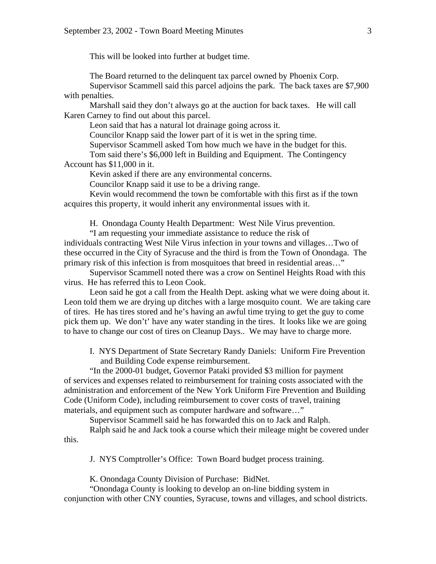This will be looked into further at budget time.

The Board returned to the delinquent tax parcel owned by Phoenix Corp.

 Supervisor Scammell said this parcel adjoins the park. The back taxes are \$7,900 with penalties.

 Marshall said they don't always go at the auction for back taxes. He will call Karen Carney to find out about this parcel.

Leon said that has a natural lot drainage going across it.

Councilor Knapp said the lower part of it is wet in the spring time.

Supervisor Scammell asked Tom how much we have in the budget for this.

 Tom said there's \$6,000 left in Building and Equipment. The Contingency Account has \$11,000 in it.

Kevin asked if there are any environmental concerns.

Councilor Knapp said it use to be a driving range.

 Kevin would recommend the town be comfortable with this first as if the town acquires this property, it would inherit any environmental issues with it.

H. Onondaga County Health Department: West Nile Virus prevention.

"I am requesting your immediate assistance to reduce the risk of individuals contracting West Nile Virus infection in your towns and villages…Two of these occurred in the City of Syracuse and the third is from the Town of Onondaga. The primary risk of this infection is from mosquitoes that breed in residential areas…"

 Supervisor Scammell noted there was a crow on Sentinel Heights Road with this virus. He has referred this to Leon Cook.

 Leon said he got a call from the Health Dept. asking what we were doing about it. Leon told them we are drying up ditches with a large mosquito count. We are taking care of tires. He has tires stored and he's having an awful time trying to get the guy to come pick them up. We don't' have any water standing in the tires. It looks like we are going to have to change our cost of tires on Cleanup Days.. We may have to charge more.

I. NYS Department of State Secretary Randy Daniels: Uniform Fire Prevention and Building Code expense reimbursement.

"In the 2000-01 budget, Governor Pataki provided \$3 million for payment of services and expenses related to reimbursement for training costs associated with the administration and enforcement of the New York Uniform Fire Prevention and Building Code (Uniform Code), including reimbursement to cover costs of travel, training materials, and equipment such as computer hardware and software…"

Supervisor Scammell said he has forwarded this on to Jack and Ralph.

 Ralph said he and Jack took a course which their mileage might be covered under this.

J. NYS Comptroller's Office: Town Board budget process training.

K. Onondaga County Division of Purchase: BidNet.

 "Onondaga County is looking to develop an on-line bidding system in conjunction with other CNY counties, Syracuse, towns and villages, and school districts.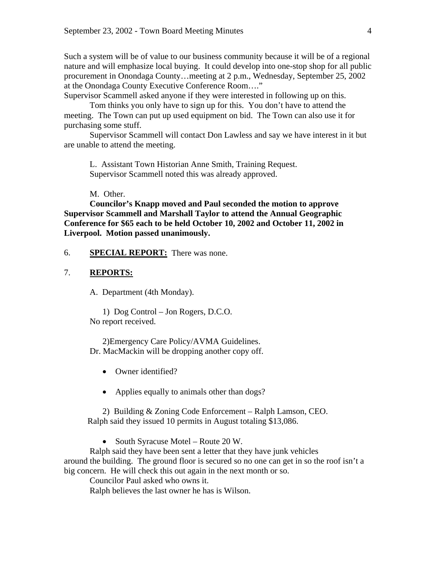Such a system will be of value to our business community because it will be of a regional nature and will emphasize local buying. It could develop into one-stop shop for all public procurement in Onondaga County…meeting at 2 p.m., Wednesday, September 25, 2002 at the Onondaga County Executive Conference Room…."

Supervisor Scammell asked anyone if they were interested in following up on this.

 Tom thinks you only have to sign up for this. You don't have to attend the meeting. The Town can put up used equipment on bid. The Town can also use it for purchasing some stuff.

 Supervisor Scammell will contact Don Lawless and say we have interest in it but are unable to attend the meeting.

L. Assistant Town Historian Anne Smith, Training Request. Supervisor Scammell noted this was already approved.

M. Other.

**Councilor's Knapp moved and Paul seconded the motion to approve Supervisor Scammell and Marshall Taylor to attend the Annual Geographic Conference for \$65 each to be held October 10, 2002 and October 11, 2002 in Liverpool. Motion passed unanimously.** 

6. **SPECIAL REPORT:** There was none.

## 7. **REPORTS:**

A. Department (4th Monday).

 1) Dog Control – Jon Rogers, D.C.O. No report received.

 2)Emergency Care Policy/AVMA Guidelines. Dr. MacMackin will be dropping another copy off.

- Owner identified?
- Applies equally to animals other than dogs?

2) Building & Zoning Code Enforcement – Ralph Lamson, CEO. Ralph said they issued 10 permits in August totaling \$13,086.

• South Syracuse Motel – Route 20 W.

Ralph said they have been sent a letter that they have junk vehicles around the building. The ground floor is secured so no one can get in so the roof isn't a big concern. He will check this out again in the next month or so.

Councilor Paul asked who owns it.

Ralph believes the last owner he has is Wilson.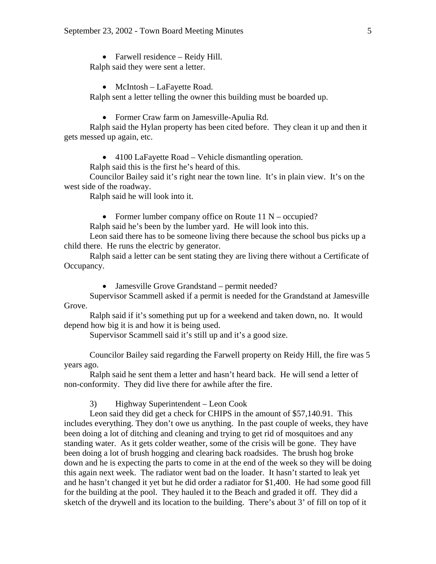• Farwell residence – Reidy Hill. Ralph said they were sent a letter.

• McIntosh – LaFayette Road. Ralph sent a letter telling the owner this building must be boarded up.

• Former Craw farm on Jamesville-Apulia Rd.

Ralph said the Hylan property has been cited before. They clean it up and then it gets messed up again, etc.

• 4100 LaFayette Road – Vehicle dismantling operation.

Ralph said this is the first he's heard of this.

Councilor Bailey said it's right near the town line. It's in plain view. It's on the west side of the roadway.

Ralph said he will look into it.

• Former lumber company office on Route 11 N – occupied?

Ralph said he's been by the lumber yard. He will look into this.

 Leon said there has to be someone living there because the school bus picks up a child there. He runs the electric by generator.

 Ralph said a letter can be sent stating they are living there without a Certificate of Occupancy.

• Jamesville Grove Grandstand – permit needed?

 Supervisor Scammell asked if a permit is needed for the Grandstand at Jamesville Grove.

 Ralph said if it's something put up for a weekend and taken down, no. It would depend how big it is and how it is being used.

Supervisor Scammell said it's still up and it's a good size.

 Councilor Bailey said regarding the Farwell property on Reidy Hill, the fire was 5 years ago.

 Ralph said he sent them a letter and hasn't heard back. He will send a letter of non-conformity. They did live there for awhile after the fire.

3) Highway Superintendent – Leon Cook

 Leon said they did get a check for CHIPS in the amount of \$57,140.91. This includes everything. They don't owe us anything. In the past couple of weeks, they have been doing a lot of ditching and cleaning and trying to get rid of mosquitoes and any standing water. As it gets colder weather, some of the crisis will be gone. They have been doing a lot of brush hogging and clearing back roadsides. The brush hog broke down and he is expecting the parts to come in at the end of the week so they will be doing this again next week. The radiator went bad on the loader. It hasn't started to leak yet and he hasn't changed it yet but he did order a radiator for \$1,400. He had some good fill for the building at the pool. They hauled it to the Beach and graded it off. They did a sketch of the drywell and its location to the building. There's about 3' of fill on top of it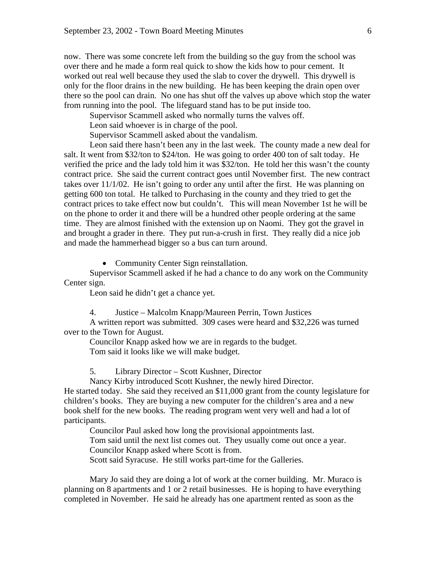now. There was some concrete left from the building so the guy from the school was over there and he made a form real quick to show the kids how to pour cement. It worked out real well because they used the slab to cover the drywell. This drywell is only for the floor drains in the new building. He has been keeping the drain open over there so the pool can drain. No one has shut off the valves up above which stop the water from running into the pool. The lifeguard stand has to be put inside too.

Supervisor Scammell asked who normally turns the valves off.

Leon said whoever is in charge of the pool.

Supervisor Scammell asked about the vandalism.

 Leon said there hasn't been any in the last week. The county made a new deal for salt. It went from \$32/ton to \$24/ton. He was going to order 400 ton of salt today. He verified the price and the lady told him it was \$32/ton. He told her this wasn't the county contract price. She said the current contract goes until November first. The new contract takes over 11/1/02. He isn't going to order any until after the first. He was planning on getting 600 ton total. He talked to Purchasing in the county and they tried to get the contract prices to take effect now but couldn't. This will mean November 1st he will be on the phone to order it and there will be a hundred other people ordering at the same time. They are almost finished with the extension up on Naomi. They got the gravel in and brought a grader in there. They put run-a-crush in first. They really did a nice job and made the hammerhead bigger so a bus can turn around.

• Community Center Sign reinstallation.

 Supervisor Scammell asked if he had a chance to do any work on the Community Center sign.

Leon said he didn't get a chance yet.

4. Justice – Malcolm Knapp/Maureen Perrin, Town Justices

 A written report was submitted. 309 cases were heard and \$32,226 was turned over to the Town for August.

 Councilor Knapp asked how we are in regards to the budget. Tom said it looks like we will make budget.

5. Library Director – Scott Kushner, Director

Nancy Kirby introduced Scott Kushner, the newly hired Director.

He started today. She said they received an \$11,000 grant from the county legislature for children's books. They are buying a new computer for the children's area and a new book shelf for the new books. The reading program went very well and had a lot of participants.

Councilor Paul asked how long the provisional appointments last.

 Tom said until the next list comes out. They usually come out once a year. Councilor Knapp asked where Scott is from.

Scott said Syracuse. He still works part-time for the Galleries.

 Mary Jo said they are doing a lot of work at the corner building. Mr. Muraco is planning on 8 apartments and 1 or 2 retail businesses. He is hoping to have everything completed in November. He said he already has one apartment rented as soon as the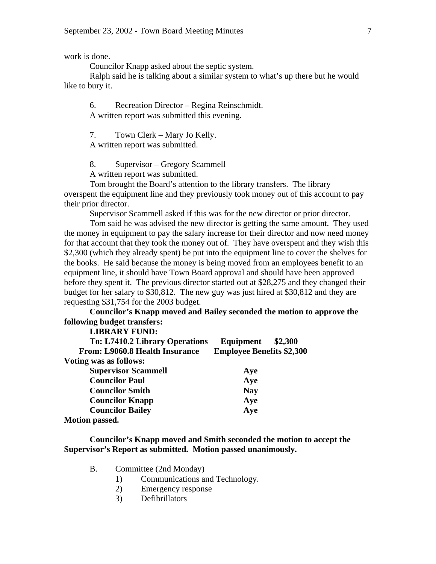work is done.

Councilor Knapp asked about the septic system.

 Ralph said he is talking about a similar system to what's up there but he would like to bury it.

6. Recreation Director – Regina Reinschmidt. A written report was submitted this evening.

7. Town Clerk – Mary Jo Kelly.

A written report was submitted.

8. Supervisor – Gregory Scammell

A written report was submitted.

Tom brought the Board's attention to the library transfers. The library overspent the equipment line and they previously took money out of this account to pay their prior director.

Supervisor Scammell asked if this was for the new director or prior director.

 Tom said he was advised the new director is getting the same amount. They used the money in equipment to pay the salary increase for their director and now need money for that account that they took the money out of. They have overspent and they wish this \$2,300 (which they already spent) be put into the equipment line to cover the shelves for the books. He said because the money is being moved from an employees benefit to an equipment line, it should have Town Board approval and should have been approved before they spent it. The previous director started out at \$28,275 and they changed their budget for her salary to \$30,812. The new guy was just hired at \$30,812 and they are requesting \$31,754 for the 2003 budget.

**Councilor's Knapp moved and Bailey seconded the motion to approve the following budget transfers:** 

 **LIBRARY FUND: To: L7410.2 Library Operations Equipment \$2,300 From: L9060.8 Health Insurance Employee Benefits \$2,300 Voting was as follows: Supervisor Scammell Aye** *Councilor Paul**Aye Councilor Smith* **Nay 1983** *Councilor Knapp* **Aye** *Councilor Bailey* **Aye Motion passed.** 

**Councilor's Knapp moved and Smith seconded the motion to accept the Supervisor's Report as submitted. Motion passed unanimously.** 

- B. Committee (2nd Monday)
	- 1) Communications and Technology.
	- 2) Emergency response
	- 3) Defibrillators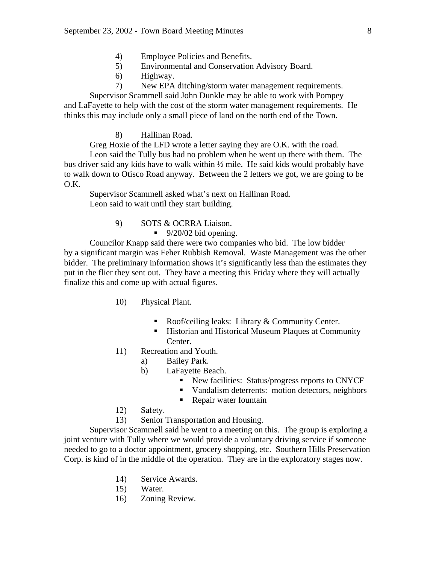- 4) Employee Policies and Benefits.
- 5) Environmental and Conservation Advisory Board.
- 6) Highway.
- 7) New EPA ditching/storm water management requirements.

Supervisor Scammell said John Dunkle may be able to work with Pompey and LaFayette to help with the cost of the storm water management requirements. He thinks this may include only a small piece of land on the north end of the Town.

8) Hallinan Road.

Greg Hoxie of the LFD wrote a letter saying they are O.K. with the road.

Leon said the Tully bus had no problem when he went up there with them. The bus driver said any kids have to walk within ½ mile. He said kids would probably have to walk down to Otisco Road anyway. Between the 2 letters we got, we are going to be O.K.

 Supervisor Scammell asked what's next on Hallinan Road. Leon said to wait until they start building.

9) SOTS & OCRRA Liaison.

 $\blacksquare$  9/20/02 bid opening.

Councilor Knapp said there were two companies who bid. The low bidder by a significant margin was Feher Rubbish Removal. Waste Management was the other bidder. The preliminary information shows it's significantly less than the estimates they put in the flier they sent out. They have a meeting this Friday where they will actually finalize this and come up with actual figures.

- 10) Physical Plant.
	- Roof/ceiling leaks: Library & Community Center.
	- ! Historian and Historical Museum Plaques at Community Center.
- 11) Recreation and Youth.
	- a) Bailey Park.
	- b) LaFayette Beach.
		- **EXECUTE:** New facilities: Status/progress reports to CNYCF
		- ! Vandalism deterrents: motion detectors, neighbors
		- **Repair water fountain**
- 12) Safety.

13) Senior Transportation and Housing.

Supervisor Scammell said he went to a meeting on this. The group is exploring a joint venture with Tully where we would provide a voluntary driving service if someone needed to go to a doctor appointment, grocery shopping, etc. Southern Hills Preservation Corp. is kind of in the middle of the operation. They are in the exploratory stages now.

- 14) Service Awards.
- 15) Water.
- 16) Zoning Review.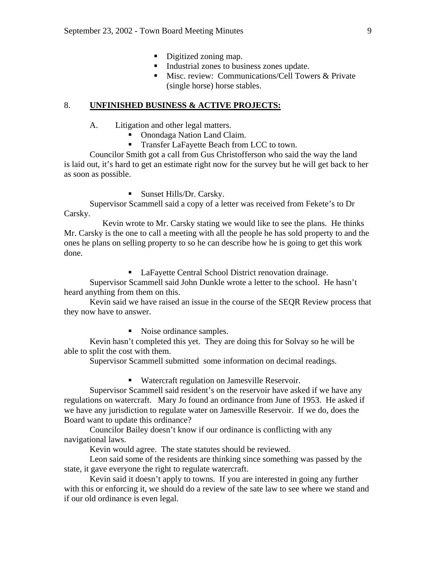- Digitized zoning map.
- ! Industrial zones to business zones update.
- Misc. review: Communications/Cell Towers & Private (single horse) horse stables.

#### 8. **UNFINISHED BUSINESS & ACTIVE PROJECTS:**

A. Litigation and other legal matters.

- Onondaga Nation Land Claim.
- Transfer LaFayette Beach from LCC to town.

Councilor Smith got a call from Gus Christofferson who said the way the land is laid out, it's hard to get an estimate right now for the survey but he will get back to her as soon as possible.

■ Sunset Hills/Dr. Carsky.

Supervisor Scammell said a copy of a letter was received from Fekete's to Dr Carsky.

 Kevin wrote to Mr. Carsky stating we would like to see the plans. He thinks Mr. Carsky is the one to call a meeting with all the people he has sold property to and the ones he plans on selling property to so he can describe how he is going to get this work done.

! LaFayette Central School District renovation drainage.

Supervisor Scammell said John Dunkle wrote a letter to the school. He hasn't heard anything from them on this.

 Kevin said we have raised an issue in the course of the SEQR Review process that they now have to answer.

• Noise ordinance samples.

Kevin hasn't completed this yet. They are doing this for Solvay so he will be able to split the cost with them.

Supervisor Scammell submitted some information on decimal readings.

! Watercraft regulation on Jamesville Reservoir.

Supervisor Scammell said resident's on the reservoir have asked if we have any regulations on watercraft. Mary Jo found an ordinance from June of 1953. He asked if we have any jurisdiction to regulate water on Jamesville Reservoir. If we do, does the Board want to update this ordinance?

 Councilor Bailey doesn't know if our ordinance is conflicting with any navigational laws.

Kevin would agree. The state statutes should be reviewed.

 Leon said some of the residents are thinking since something was passed by the state, it gave everyone the right to regulate watercraft.

 Kevin said it doesn't apply to towns. If you are interested in going any further with this or enforcing it, we should do a review of the sate law to see where we stand and if our old ordinance is even legal.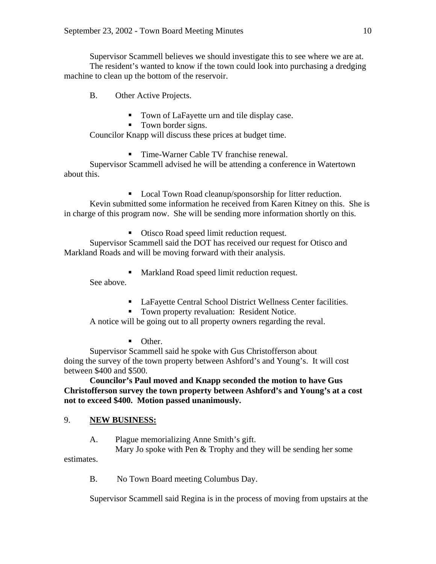Supervisor Scammell believes we should investigate this to see where we are at. The resident's wanted to know if the town could look into purchasing a dredging machine to clean up the bottom of the reservoir.

B. Other Active Projects.

- Town of LaFayette urn and tile display case.
- Town border signs.

Councilor Knapp will discuss these prices at budget time.

■ Time-Warner Cable TV franchise renewal.

Supervisor Scammell advised he will be attending a conference in Watertown about this.

■ Local Town Road cleanup/sponsorship for litter reduction. Kevin submitted some information he received from Karen Kitney on this. She is in charge of this program now. She will be sending more information shortly on this.

! Otisco Road speed limit reduction request. Supervisor Scammell said the DOT has received our request for Otisco and Markland Roads and will be moving forward with their analysis.

! Markland Road speed limit reduction request.

See above.

- ! LaFayette Central School District Wellness Center facilities.
- Town property revaluation: Resident Notice.

A notice will be going out to all property owners regarding the reval.

• Other.

Supervisor Scammell said he spoke with Gus Christofferson about doing the survey of the town property between Ashford's and Young's. It will cost between \$400 and \$500.

**Councilor's Paul moved and Knapp seconded the motion to have Gus Christofferson survey the town property between Ashford's and Young's at a cost not to exceed \$400. Motion passed unanimously.** 

## 9. **NEW BUSINESS:**

A. Plague memorializing Anne Smith's gift.

 Mary Jo spoke with Pen & Trophy and they will be sending her some estimates.

B. No Town Board meeting Columbus Day.

Supervisor Scammell said Regina is in the process of moving from upstairs at the